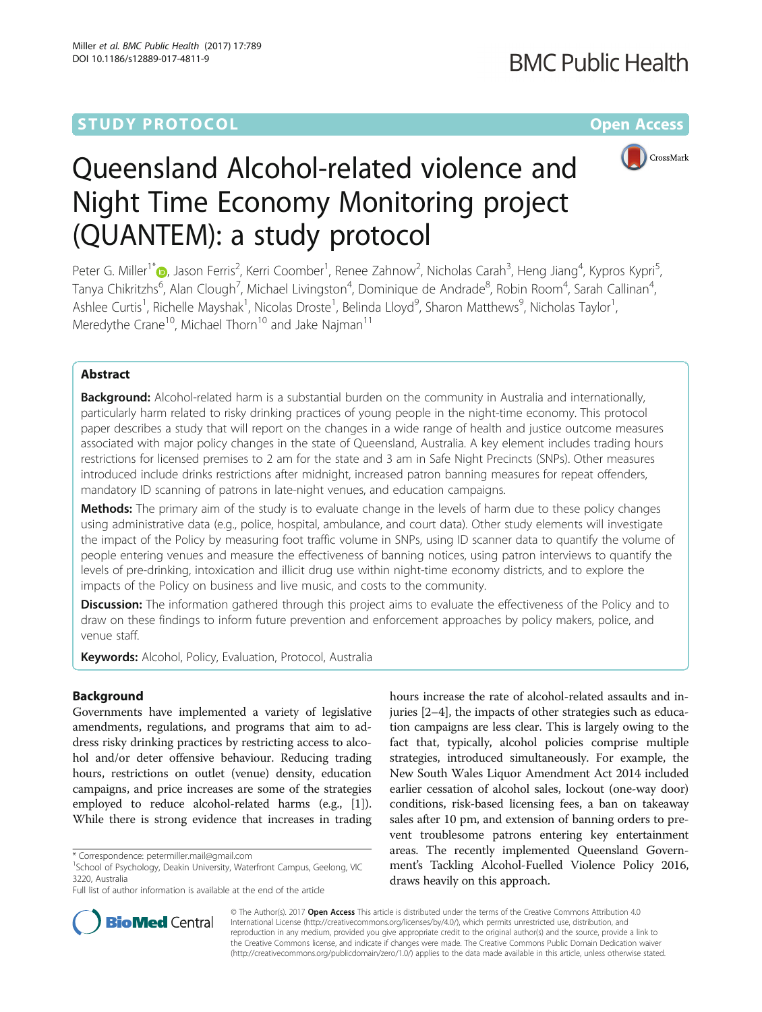## **STUDY PROTOCOL CONSUMING THE CONSUMING OPEN ACCESS**



# Queensland Alcohol-related violence and Night Time Economy Monitoring project (QUANTEM): a study protocol

Peter G. Miller<sup>1\*</sup>®[,](http://orcid.org/0000-0002-6896-5437) Jason Ferris<sup>2</sup>, Kerri Coomber<sup>1</sup>, Renee Zahnow<sup>2</sup>, Nicholas Carah<sup>3</sup>, Heng Jiang<sup>4</sup>, Kypros Kypri<sup>5</sup> , Tanya Chikritzhs<sup>6</sup>, Alan Clough<sup>7</sup>, Michael Livingston<sup>4</sup>, Dominique de Andrade<sup>8</sup>, Robin Room<sup>4</sup>, Sarah Callinan<sup>4</sup> , Ashlee Curtis<sup>1</sup>, Richelle Mayshak<sup>1</sup>, Nicolas Droste<sup>1</sup>, Belinda Lloyd<sup>9</sup>, Sharon Matthews<sup>9</sup>, Nicholas Taylor<sup>1</sup> , Meredythe Crane<sup>10</sup>, Michael Thorn<sup>10</sup> and Jake Najman<sup>11</sup>

## Abstract

**Background:** Alcohol-related harm is a substantial burden on the community in Australia and internationally, particularly harm related to risky drinking practices of young people in the night-time economy. This protocol paper describes a study that will report on the changes in a wide range of health and justice outcome measures associated with major policy changes in the state of Queensland, Australia. A key element includes trading hours restrictions for licensed premises to 2 am for the state and 3 am in Safe Night Precincts (SNPs). Other measures introduced include drinks restrictions after midnight, increased patron banning measures for repeat offenders, mandatory ID scanning of patrons in late-night venues, and education campaigns.

**Methods:** The primary aim of the study is to evaluate change in the levels of harm due to these policy changes using administrative data (e.g., police, hospital, ambulance, and court data). Other study elements will investigate the impact of the Policy by measuring foot traffic volume in SNPs, using ID scanner data to quantify the volume of people entering venues and measure the effectiveness of banning notices, using patron interviews to quantify the levels of pre-drinking, intoxication and illicit drug use within night-time economy districts, and to explore the impacts of the Policy on business and live music, and costs to the community.

**Discussion:** The information gathered through this project aims to evaluate the effectiveness of the Policy and to draw on these findings to inform future prevention and enforcement approaches by policy makers, police, and venue staff.

Keywords: Alcohol, Policy, Evaluation, Protocol, Australia

## Background

Governments have implemented a variety of legislative amendments, regulations, and programs that aim to address risky drinking practices by restricting access to alcohol and/or deter offensive behaviour. Reducing trading hours, restrictions on outlet (venue) density, education campaigns, and price increases are some of the strategies employed to reduce alcohol-related harms (e.g., [\[1](#page-10-0)]). While there is strong evidence that increases in trading

hours increase the rate of alcohol-related assaults and injuries [\[2](#page-10-0)–[4\]](#page-10-0), the impacts of other strategies such as education campaigns are less clear. This is largely owing to the fact that, typically, alcohol policies comprise multiple strategies, introduced simultaneously. For example, the New South Wales Liquor Amendment Act 2014 included earlier cessation of alcohol sales, lockout (one-way door) conditions, risk-based licensing fees, a ban on takeaway sales after 10 pm, and extension of banning orders to prevent troublesome patrons entering key entertainment areas. The recently implemented Queensland Government's Tackling Alcohol-Fuelled Violence Policy 2016, draws heavily on this approach.



© The Author(s). 2017 **Open Access** This article is distributed under the terms of the Creative Commons Attribution 4.0 International License [\(http://creativecommons.org/licenses/by/4.0/](http://creativecommons.org/licenses/by/4.0/)), which permits unrestricted use, distribution, and reproduction in any medium, provided you give appropriate credit to the original author(s) and the source, provide a link to the Creative Commons license, and indicate if changes were made. The Creative Commons Public Domain Dedication waiver [\(http://creativecommons.org/publicdomain/zero/1.0/](http://creativecommons.org/publicdomain/zero/1.0/)) applies to the data made available in this article, unless otherwise stated.

<sup>\*</sup> Correspondence: [petermiller.mail@gmail.com](mailto:petermiller.mail@gmail.com) <sup>1</sup>

<sup>&</sup>lt;sup>1</sup>School of Psychology, Deakin University, Waterfront Campus, Geelong, VIC 3220, Australia

Full list of author information is available at the end of the article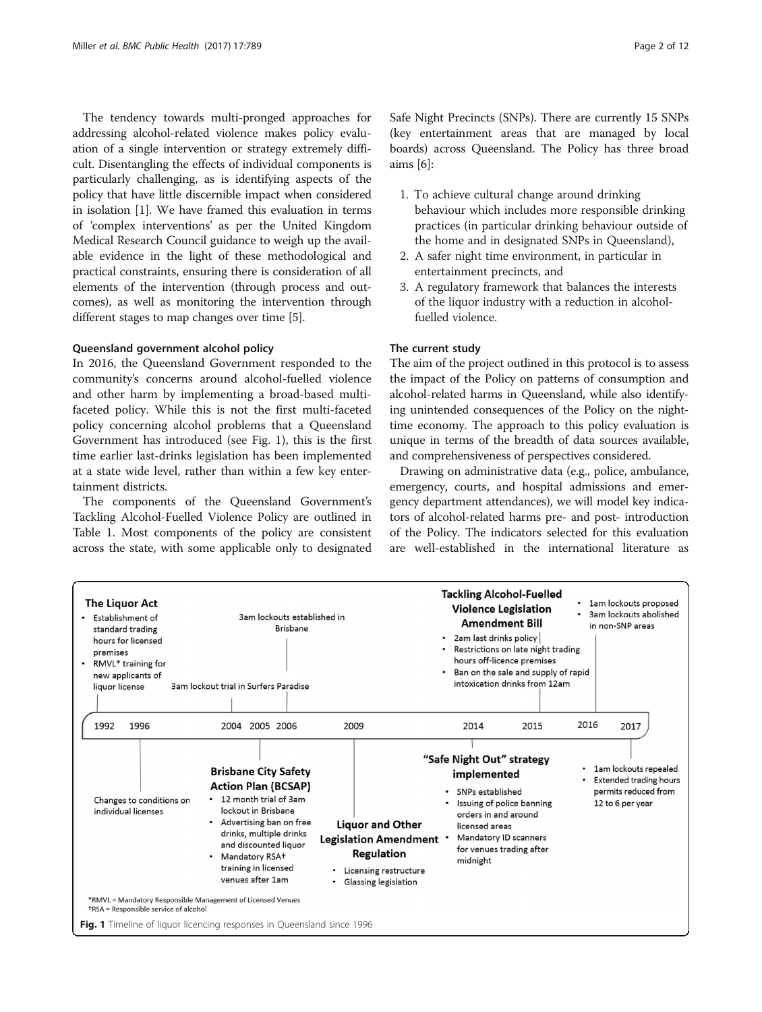The tendency towards multi-pronged approaches for addressing alcohol-related violence makes policy evaluation of a single intervention or strategy extremely difficult. Disentangling the effects of individual components is particularly challenging, as is identifying aspects of the policy that have little discernible impact when considered in isolation [[1](#page-10-0)]. We have framed this evaluation in terms of 'complex interventions' as per the United Kingdom Medical Research Council guidance to weigh up the available evidence in the light of these methodological and practical constraints, ensuring there is consideration of all elements of the intervention (through process and outcomes), as well as monitoring the intervention through different stages to map changes over time [[5](#page-10-0)].

## Queensland government alcohol policy

In 2016, the Queensland Government responded to the community's concerns around alcohol-fuelled violence and other harm by implementing a broad-based multifaceted policy. While this is not the first multi-faceted policy concerning alcohol problems that a Queensland Government has introduced (see Fig. 1), this is the first time earlier last-drinks legislation has been implemented at a state wide level, rather than within a few key entertainment districts.

The components of the Queensland Government's Tackling Alcohol-Fuelled Violence Policy are outlined in Table [1](#page-2-0). Most components of the policy are consistent across the state, with some applicable only to designated

- 1. To achieve cultural change around drinking behaviour which includes more responsible drinking practices (in particular drinking behaviour outside of the home and in designated SNPs in Queensland),
- 2. A safer night time environment, in particular in entertainment precincts, and
- 3. A regulatory framework that balances the interests of the liquor industry with a reduction in alcoholfuelled violence.

## The current study

The aim of the project outlined in this protocol is to assess the impact of the Policy on patterns of consumption and alcohol-related harms in Queensland, while also identifying unintended consequences of the Policy on the nighttime economy. The approach to this policy evaluation is unique in terms of the breadth of data sources available, and comprehensiveness of perspectives considered.

Drawing on administrative data (e.g., police, ambulance, emergency, courts, and hospital admissions and emergency department attendances), we will model key indicators of alcohol-related harms pre- and post- introduction of the Policy. The indicators selected for this evaluation are well-established in the international literature as

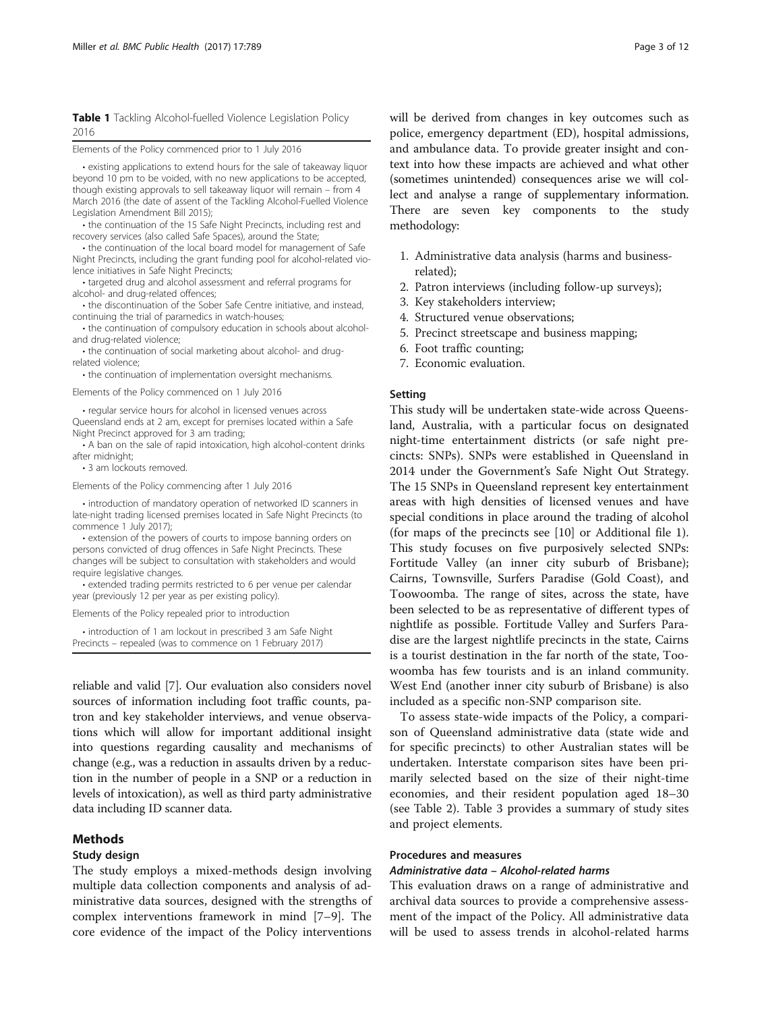#### <span id="page-2-0"></span>Table 1 Tackling Alcohol-fuelled Violence Legislation Policy 2016

Elements of the Policy commenced prior to 1 July 2016

• existing applications to extend hours for the sale of takeaway liquor beyond 10 pm to be voided, with no new applications to be accepted, though existing approvals to sell takeaway liquor will remain – from 4 March 2016 (the date of assent of the Tackling Alcohol-Fuelled Violence Legislation Amendment Bill 2015);

• the continuation of the 15 Safe Night Precincts, including rest and recovery services (also called Safe Spaces), around the State;

• the continuation of the local board model for management of Safe Night Precincts, including the grant funding pool for alcohol-related violence initiatives in Safe Night Precincts;

• targeted drug and alcohol assessment and referral programs for alcohol- and drug-related offences;

• the discontinuation of the Sober Safe Centre initiative, and instead, continuing the trial of paramedics in watch-houses;

• the continuation of compulsory education in schools about alcoholand drug-related violence;

• the continuation of social marketing about alcohol- and drugrelated violence;

• the continuation of implementation oversight mechanisms.

Elements of the Policy commenced on 1 July 2016

• regular service hours for alcohol in licensed venues across Queensland ends at 2 am, except for premises located within a Safe Night Precinct approved for 3 am trading;

• A ban on the sale of rapid intoxication, high alcohol-content drinks after midnight;

• 3 am lockouts removed.

Elements of the Policy commencing after 1 July 2016

• introduction of mandatory operation of networked ID scanners in late-night trading licensed premises located in Safe Night Precincts (to commence 1 July 2017);

• extension of the powers of courts to impose banning orders on persons convicted of drug offences in Safe Night Precincts. These changes will be subject to consultation with stakeholders and would require legislative changes.

• extended trading permits restricted to 6 per venue per calendar year (previously 12 per year as per existing policy).

Elements of the Policy repealed prior to introduction

• introduction of 1 am lockout in prescribed 3 am Safe Night Precincts – repealed (was to commence on 1 February 2017)

reliable and valid [\[7\]](#page-10-0). Our evaluation also considers novel sources of information including foot traffic counts, patron and key stakeholder interviews, and venue observations which will allow for important additional insight into questions regarding causality and mechanisms of change (e.g., was a reduction in assaults driven by a reduction in the number of people in a SNP or a reduction in levels of intoxication), as well as third party administrative data including ID scanner data.

#### Methods

#### Study design

The study employs a mixed-methods design involving multiple data collection components and analysis of administrative data sources, designed with the strengths of complex interventions framework in mind [\[7](#page-10-0)–[9\]](#page-10-0). The core evidence of the impact of the Policy interventions will be derived from changes in key outcomes such as police, emergency department (ED), hospital admissions, and ambulance data. To provide greater insight and context into how these impacts are achieved and what other (sometimes unintended) consequences arise we will collect and analyse a range of supplementary information. There are seven key components to the study methodology:

- 1. Administrative data analysis (harms and businessrelated);
- 2. Patron interviews (including follow-up surveys);
- 3. Key stakeholders interview;
- 4. Structured venue observations;
- 5. Precinct streetscape and business mapping;
- 6. Foot traffic counting;
- 7. Economic evaluation.

#### **Setting**

This study will be undertaken state-wide across Queensland, Australia, with a particular focus on designated night-time entertainment districts (or safe night precincts: SNPs). SNPs were established in Queensland in 2014 under the Government's Safe Night Out Strategy. The 15 SNPs in Queensland represent key entertainment areas with high densities of licensed venues and have special conditions in place around the trading of alcohol (for maps of the precincts see [[10](#page-10-0)] or Additional file [1](#page-9-0)). This study focuses on five purposively selected SNPs: Fortitude Valley (an inner city suburb of Brisbane); Cairns, Townsville, Surfers Paradise (Gold Coast), and Toowoomba. The range of sites, across the state, have been selected to be as representative of different types of nightlife as possible. Fortitude Valley and Surfers Paradise are the largest nightlife precincts in the state, Cairns is a tourist destination in the far north of the state, Toowoomba has few tourists and is an inland community. West End (another inner city suburb of Brisbane) is also included as a specific non-SNP comparison site.

To assess state-wide impacts of the Policy, a comparison of Queensland administrative data (state wide and for specific precincts) to other Australian states will be undertaken. Interstate comparison sites have been primarily selected based on the size of their night-time economies, and their resident population aged 18–30 (see Table [2\)](#page-3-0). Table [3](#page-3-0) provides a summary of study sites and project elements.

#### Procedures and measures

#### Administrative data – Alcohol-related harms

This evaluation draws on a range of administrative and archival data sources to provide a comprehensive assessment of the impact of the Policy. All administrative data will be used to assess trends in alcohol-related harms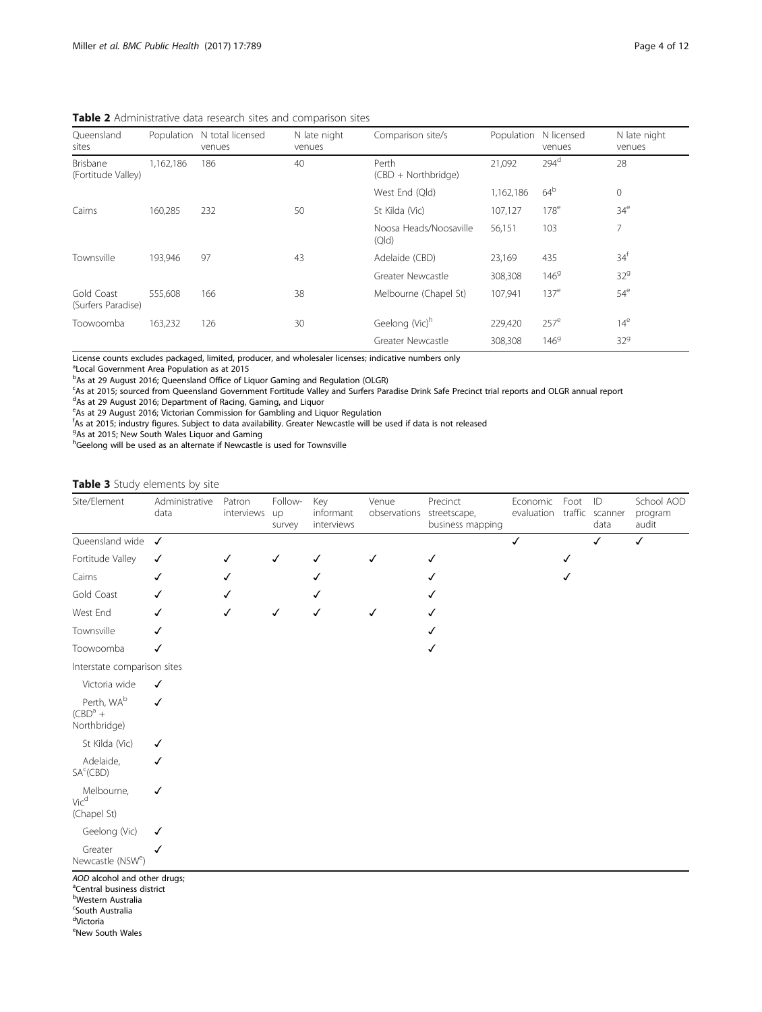<span id="page-3-0"></span>

| Queensland<br>sites              |           | Population N total licensed<br>venues | N late night<br>venues | Comparison site/s               | Population N licensed | venues           | N late night<br>venues |
|----------------------------------|-----------|---------------------------------------|------------------------|---------------------------------|-----------------------|------------------|------------------------|
| Brisbane<br>(Fortitude Valley)   | 1,162,186 | 186                                   | 40                     | Perth<br>(CBD + Northbridge)    | 21,092                | 294 <sup>d</sup> | 28                     |
|                                  |           |                                       |                        | West End (Qld)                  | 1,162,186             | $64^b$           | $\mathbf{0}$           |
| Cairns                           | 160,285   | 232                                   | 50                     | St Kilda (Vic)                  | 107,127               | 178 <sup>e</sup> | 34 <sup>e</sup>        |
|                                  |           |                                       |                        | Noosa Heads/Noosaville<br>(QId) | 56,151                | 103              | 7                      |
| Townsville                       | 193,946   | 97                                    | 43                     | Adelaide (CBD)                  | 23,169                | 435              | $34^{\dagger}$         |
|                                  |           |                                       |                        | Greater Newcastle               | 308,308               | $146^9$          | 32 <sup>9</sup>        |
| Gold Coast<br>(Surfers Paradise) | 555.608   | 166                                   | 38                     | Melbourne (Chapel St)           | 107,941               | 137 <sup>e</sup> | $54^e$                 |
| Toowoomba                        | 163,232   | 126                                   | 30                     | Geelong (Vic) <sup>h</sup>      | 229,420               | 257 <sup>e</sup> | 14 <sup>e</sup>        |
|                                  |           |                                       |                        | Greater Newcastle               | 308,308               | $146^9$          | 329                    |

License counts excludes packaged, limited, producer, and wholesaler licenses; indicative numbers only a Local Government Area Population as at 2015

<sup>b</sup>As at 29 August 2016; Queensland Office of Liquor Gaming and Regulation (OLGR)

c As at 2015; sourced from Queensland Government Fortitude Valley and Surfers Paradise Drink Safe Precinct trial reports and OLGR annual report

<sup>d</sup>As at 29 August 2016; Department of Racing, Gaming, and Liquor

e As at 29 August 2016; Victorian Commission for Gambling and Liquor Regulation

f As at 2015; industry figures. Subject to data availability. Greater Newcastle will be used if data is not released

<sup>g</sup>As at 2015; New South Wales Liquor and Gaming

<sup>h</sup>Geelong will be used as an alternate if Newcastle is used for Townsville

## Table 3 Study elements by site

| Site/Element                                                                                             | Administrative<br>data | Patron<br>interviews | Follow-<br>up<br>survey | Key<br>informant<br>interviews | Venue<br>observations | Precinct<br>streetscape,<br>business mapping | Economic<br>evaluation | Foot | ID<br>traffic scanner<br>data | School AOD<br>program<br>audit |
|----------------------------------------------------------------------------------------------------------|------------------------|----------------------|-------------------------|--------------------------------|-----------------------|----------------------------------------------|------------------------|------|-------------------------------|--------------------------------|
| Queensland wide                                                                                          | $\checkmark$           |                      |                         |                                |                       |                                              | $\checkmark$           |      | $\checkmark$                  | $\checkmark$                   |
| Fortitude Valley                                                                                         | ✓                      | ✓                    | ✓                       |                                | ✓                     | ✓                                            |                        | ✓    |                               |                                |
| Cairns                                                                                                   | ✓                      | ✓                    |                         |                                |                       |                                              |                        | ✓    |                               |                                |
| Gold Coast                                                                                               | ✓                      | ✓                    |                         |                                |                       |                                              |                        |      |                               |                                |
| West End                                                                                                 | ✓                      | ✓                    | $\checkmark$            |                                | $\checkmark$          |                                              |                        |      |                               |                                |
| Townsville                                                                                               | ✓                      |                      |                         |                                |                       |                                              |                        |      |                               |                                |
| Toowoomba                                                                                                | ✓                      |                      |                         |                                |                       | ℐ                                            |                        |      |                               |                                |
| Interstate comparison sites                                                                              |                        |                      |                         |                                |                       |                                              |                        |      |                               |                                |
| Victoria wide                                                                                            | $\checkmark$           |                      |                         |                                |                       |                                              |                        |      |                               |                                |
| Perth, WAb<br>$(CBD^a +$<br>Northbridge)                                                                 | $\checkmark$           |                      |                         |                                |                       |                                              |                        |      |                               |                                |
| St Kilda (Vic)                                                                                           | $\checkmark$           |                      |                         |                                |                       |                                              |                        |      |                               |                                |
| Adelaide,<br>SA <sup>c</sup> (CBD)                                                                       | √                      |                      |                         |                                |                       |                                              |                        |      |                               |                                |
| Melbourne,<br>Vic <sup>d</sup><br>(Chapel St)                                                            | $\checkmark$           |                      |                         |                                |                       |                                              |                        |      |                               |                                |
| Geelong (Vic)                                                                                            | $\checkmark$           |                      |                         |                                |                       |                                              |                        |      |                               |                                |
| Greater<br>Newcastle (NSW <sup>e</sup> )                                                                 | √                      |                      |                         |                                |                       |                                              |                        |      |                               |                                |
| AOD alcohol and other drugs;<br><sup>a</sup> Central business district<br><sup>b</sup> Western Australia |                        |                      |                         |                                |                       |                                              |                        |      |                               |                                |

<sup>c</sup>South Australia

<sup>d</sup>Victoria

e New South Wales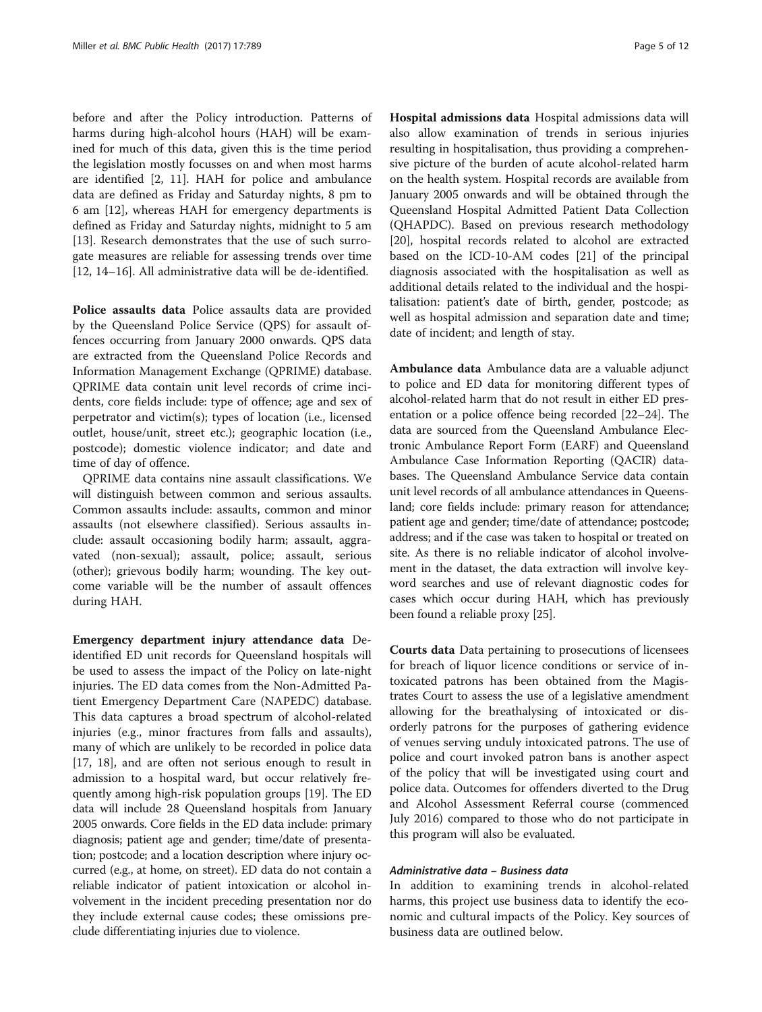before and after the Policy introduction. Patterns of harms during high-alcohol hours (HAH) will be examined for much of this data, given this is the time period the legislation mostly focusses on and when most harms are identified [[2, 11\]](#page-10-0). HAH for police and ambulance data are defined as Friday and Saturday nights, 8 pm to 6 am [[12\]](#page-10-0), whereas HAH for emergency departments is defined as Friday and Saturday nights, midnight to 5 am [[13\]](#page-10-0). Research demonstrates that the use of such surrogate measures are reliable for assessing trends over time [[12, 14](#page-10-0)–[16](#page-10-0)]. All administrative data will be de-identified.

Police assaults data Police assaults data are provided by the Queensland Police Service (QPS) for assault offences occurring from January 2000 onwards. QPS data are extracted from the Queensland Police Records and Information Management Exchange (QPRIME) database. QPRIME data contain unit level records of crime incidents, core fields include: type of offence; age and sex of perpetrator and victim(s); types of location (i.e., licensed outlet, house/unit, street etc.); geographic location (i.e., postcode); domestic violence indicator; and date and time of day of offence.

QPRIME data contains nine assault classifications. We will distinguish between common and serious assaults. Common assaults include: assaults, common and minor assaults (not elsewhere classified). Serious assaults include: assault occasioning bodily harm; assault, aggravated (non-sexual); assault, police; assault, serious (other); grievous bodily harm; wounding. The key outcome variable will be the number of assault offences during HAH.

Emergency department injury attendance data Deidentified ED unit records for Queensland hospitals will be used to assess the impact of the Policy on late-night injuries. The ED data comes from the Non-Admitted Patient Emergency Department Care (NAPEDC) database. This data captures a broad spectrum of alcohol-related injuries (e.g., minor fractures from falls and assaults), many of which are unlikely to be recorded in police data [[17, 18\]](#page-10-0), and are often not serious enough to result in admission to a hospital ward, but occur relatively frequently among high-risk population groups [\[19](#page-10-0)]. The ED data will include 28 Queensland hospitals from January 2005 onwards. Core fields in the ED data include: primary diagnosis; patient age and gender; time/date of presentation; postcode; and a location description where injury occurred (e.g., at home, on street). ED data do not contain a reliable indicator of patient intoxication or alcohol involvement in the incident preceding presentation nor do they include external cause codes; these omissions preclude differentiating injuries due to violence.

Hospital admissions data Hospital admissions data will also allow examination of trends in serious injuries resulting in hospitalisation, thus providing a comprehensive picture of the burden of acute alcohol-related harm on the health system. Hospital records are available from January 2005 onwards and will be obtained through the Queensland Hospital Admitted Patient Data Collection (QHAPDC). Based on previous research methodology [[20\]](#page-10-0), hospital records related to alcohol are extracted based on the ICD-10-AM codes [\[21](#page-10-0)] of the principal diagnosis associated with the hospitalisation as well as additional details related to the individual and the hospitalisation: patient's date of birth, gender, postcode; as well as hospital admission and separation date and time; date of incident; and length of stay.

Ambulance data Ambulance data are a valuable adjunct to police and ED data for monitoring different types of alcohol-related harm that do not result in either ED presentation or a police offence being recorded [[22](#page-10-0)–[24\]](#page-10-0). The data are sourced from the Queensland Ambulance Electronic Ambulance Report Form (EARF) and Queensland Ambulance Case Information Reporting (QACIR) databases. The Queensland Ambulance Service data contain unit level records of all ambulance attendances in Queensland; core fields include: primary reason for attendance; patient age and gender; time/date of attendance; postcode; address; and if the case was taken to hospital or treated on site. As there is no reliable indicator of alcohol involvement in the dataset, the data extraction will involve keyword searches and use of relevant diagnostic codes for cases which occur during HAH, which has previously been found a reliable proxy [\[25](#page-10-0)].

Courts data Data pertaining to prosecutions of licensees for breach of liquor licence conditions or service of intoxicated patrons has been obtained from the Magistrates Court to assess the use of a legislative amendment allowing for the breathalysing of intoxicated or disorderly patrons for the purposes of gathering evidence of venues serving unduly intoxicated patrons. The use of police and court invoked patron bans is another aspect of the policy that will be investigated using court and police data. Outcomes for offenders diverted to the Drug and Alcohol Assessment Referral course (commenced July 2016) compared to those who do not participate in this program will also be evaluated.

## Administrative data – Business data

In addition to examining trends in alcohol-related harms, this project use business data to identify the economic and cultural impacts of the Policy. Key sources of business data are outlined below.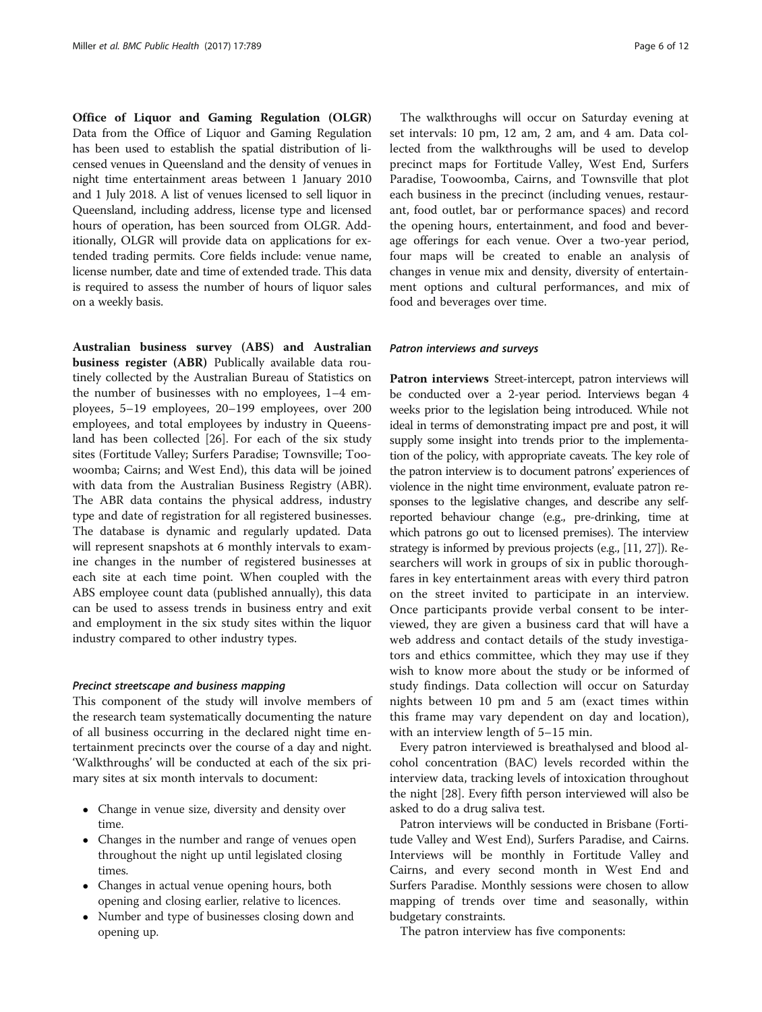Office of Liquor and Gaming Regulation (OLGR) Data from the Office of Liquor and Gaming Regulation has been used to establish the spatial distribution of licensed venues in Queensland and the density of venues in night time entertainment areas between 1 January 2010 and 1 July 2018. A list of venues licensed to sell liquor in Queensland, including address, license type and licensed hours of operation, has been sourced from OLGR. Additionally, OLGR will provide data on applications for extended trading permits. Core fields include: venue name, license number, date and time of extended trade. This data is required to assess the number of hours of liquor sales on a weekly basis.

Australian business survey (ABS) and Australian business register (ABR) Publically available data routinely collected by the Australian Bureau of Statistics on the number of businesses with no employees, 1–4 employees, 5–19 employees, 20–199 employees, over 200 employees, and total employees by industry in Queensland has been collected [[26](#page-10-0)]. For each of the six study sites (Fortitude Valley; Surfers Paradise; Townsville; Toowoomba; Cairns; and West End), this data will be joined with data from the Australian Business Registry (ABR). The ABR data contains the physical address, industry type and date of registration for all registered businesses. The database is dynamic and regularly updated. Data will represent snapshots at 6 monthly intervals to examine changes in the number of registered businesses at each site at each time point. When coupled with the ABS employee count data (published annually), this data can be used to assess trends in business entry and exit and employment in the six study sites within the liquor industry compared to other industry types.

#### Precinct streetscape and business mapping

This component of the study will involve members of the research team systematically documenting the nature of all business occurring in the declared night time entertainment precincts over the course of a day and night. 'Walkthroughs' will be conducted at each of the six primary sites at six month intervals to document:

- Change in venue size, diversity and density over time.
- Changes in the number and range of venues open throughout the night up until legislated closing times.
- Changes in actual venue opening hours, both opening and closing earlier, relative to licences.
- Number and type of businesses closing down and opening up.

The walkthroughs will occur on Saturday evening at set intervals: 10 pm, 12 am, 2 am, and 4 am. Data collected from the walkthroughs will be used to develop precinct maps for Fortitude Valley, West End, Surfers Paradise, Toowoomba, Cairns, and Townsville that plot each business in the precinct (including venues, restaurant, food outlet, bar or performance spaces) and record the opening hours, entertainment, and food and beverage offerings for each venue. Over a two-year period, four maps will be created to enable an analysis of changes in venue mix and density, diversity of entertainment options and cultural performances, and mix of food and beverages over time.

#### Patron interviews and surveys

Patron interviews Street-intercept, patron interviews will be conducted over a 2-year period. Interviews began 4 weeks prior to the legislation being introduced. While not ideal in terms of demonstrating impact pre and post, it will supply some insight into trends prior to the implementation of the policy, with appropriate caveats. The key role of the patron interview is to document patrons' experiences of violence in the night time environment, evaluate patron responses to the legislative changes, and describe any selfreported behaviour change (e.g., pre-drinking, time at which patrons go out to licensed premises). The interview strategy is informed by previous projects (e.g., [\[11](#page-10-0), [27\]](#page-10-0)). Researchers will work in groups of six in public thoroughfares in key entertainment areas with every third patron on the street invited to participate in an interview. Once participants provide verbal consent to be interviewed, they are given a business card that will have a web address and contact details of the study investigators and ethics committee, which they may use if they wish to know more about the study or be informed of study findings. Data collection will occur on Saturday nights between 10 pm and 5 am (exact times within this frame may vary dependent on day and location), with an interview length of 5–15 min.

Every patron interviewed is breathalysed and blood alcohol concentration (BAC) levels recorded within the interview data, tracking levels of intoxication throughout the night [\[28\]](#page-10-0). Every fifth person interviewed will also be asked to do a drug saliva test.

Patron interviews will be conducted in Brisbane (Fortitude Valley and West End), Surfers Paradise, and Cairns. Interviews will be monthly in Fortitude Valley and Cairns, and every second month in West End and Surfers Paradise. Monthly sessions were chosen to allow mapping of trends over time and seasonally, within budgetary constraints.

The patron interview has five components: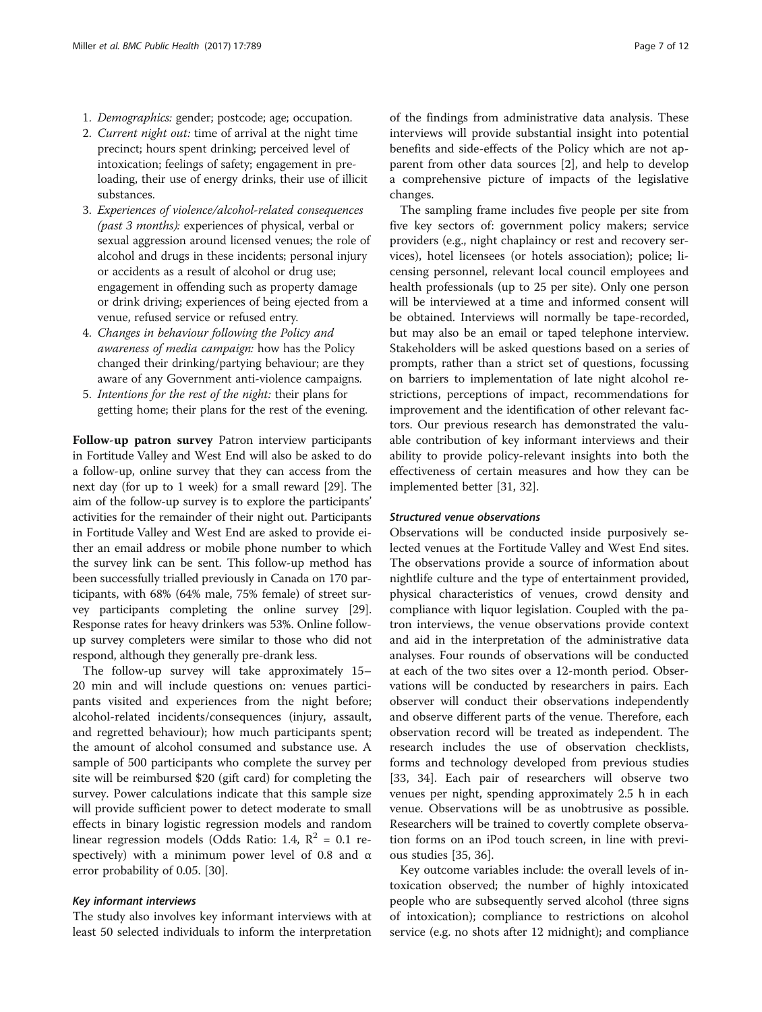- 1. Demographics: gender; postcode; age; occupation.
- 2. Current night out: time of arrival at the night time precinct; hours spent drinking; perceived level of intoxication; feelings of safety; engagement in preloading, their use of energy drinks, their use of illicit substances.
- 3. Experiences of violence/alcohol-related consequences (past 3 months): experiences of physical, verbal or sexual aggression around licensed venues; the role of alcohol and drugs in these incidents; personal injury or accidents as a result of alcohol or drug use; engagement in offending such as property damage or drink driving; experiences of being ejected from a venue, refused service or refused entry.
- 4. Changes in behaviour following the Policy and awareness of media campaign: how has the Policy changed their drinking/partying behaviour; are they aware of any Government anti-violence campaigns.
- 5. Intentions for the rest of the night: their plans for getting home; their plans for the rest of the evening.

Follow-up patron survey Patron interview participants in Fortitude Valley and West End will also be asked to do a follow-up, online survey that they can access from the next day (for up to 1 week) for a small reward [\[29\]](#page-10-0). The aim of the follow-up survey is to explore the participants' activities for the remainder of their night out. Participants in Fortitude Valley and West End are asked to provide either an email address or mobile phone number to which the survey link can be sent. This follow-up method has been successfully trialled previously in Canada on 170 participants, with 68% (64% male, 75% female) of street survey participants completing the online survey [[29](#page-10-0)]. Response rates for heavy drinkers was 53%. Online followup survey completers were similar to those who did not respond, although they generally pre-drank less.

The follow-up survey will take approximately 15– 20 min and will include questions on: venues participants visited and experiences from the night before; alcohol-related incidents/consequences (injury, assault, and regretted behaviour); how much participants spent; the amount of alcohol consumed and substance use. A sample of 500 participants who complete the survey per site will be reimbursed \$20 (gift card) for completing the survey. Power calculations indicate that this sample size will provide sufficient power to detect moderate to small effects in binary logistic regression models and random linear regression models (Odds Ratio: 1.4,  $R^2 = 0.1$  respectively) with a minimum power level of 0.8 and  $\alpha$ error probability of 0.05. [\[30\]](#page-10-0).

#### Key informant interviews

The study also involves key informant interviews with at least 50 selected individuals to inform the interpretation of the findings from administrative data analysis. These interviews will provide substantial insight into potential benefits and side-effects of the Policy which are not apparent from other data sources [[2](#page-10-0)], and help to develop a comprehensive picture of impacts of the legislative changes.

The sampling frame includes five people per site from five key sectors of: government policy makers; service providers (e.g., night chaplaincy or rest and recovery services), hotel licensees (or hotels association); police; licensing personnel, relevant local council employees and health professionals (up to 25 per site). Only one person will be interviewed at a time and informed consent will be obtained. Interviews will normally be tape-recorded, but may also be an email or taped telephone interview. Stakeholders will be asked questions based on a series of prompts, rather than a strict set of questions, focussing on barriers to implementation of late night alcohol restrictions, perceptions of impact, recommendations for improvement and the identification of other relevant factors. Our previous research has demonstrated the valuable contribution of key informant interviews and their ability to provide policy-relevant insights into both the effectiveness of certain measures and how they can be implemented better [\[31](#page-10-0), [32](#page-10-0)].

## Structured venue observations

Observations will be conducted inside purposively selected venues at the Fortitude Valley and West End sites. The observations provide a source of information about nightlife culture and the type of entertainment provided, physical characteristics of venues, crowd density and compliance with liquor legislation. Coupled with the patron interviews, the venue observations provide context and aid in the interpretation of the administrative data analyses. Four rounds of observations will be conducted at each of the two sites over a 12-month period. Observations will be conducted by researchers in pairs. Each observer will conduct their observations independently and observe different parts of the venue. Therefore, each observation record will be treated as independent. The research includes the use of observation checklists, forms and technology developed from previous studies [[33, 34](#page-10-0)]. Each pair of researchers will observe two venues per night, spending approximately 2.5 h in each venue. Observations will be as unobtrusive as possible. Researchers will be trained to covertly complete observation forms on an iPod touch screen, in line with previous studies [\[35, 36\]](#page-10-0).

Key outcome variables include: the overall levels of intoxication observed; the number of highly intoxicated people who are subsequently served alcohol (three signs of intoxication); compliance to restrictions on alcohol service (e.g. no shots after 12 midnight); and compliance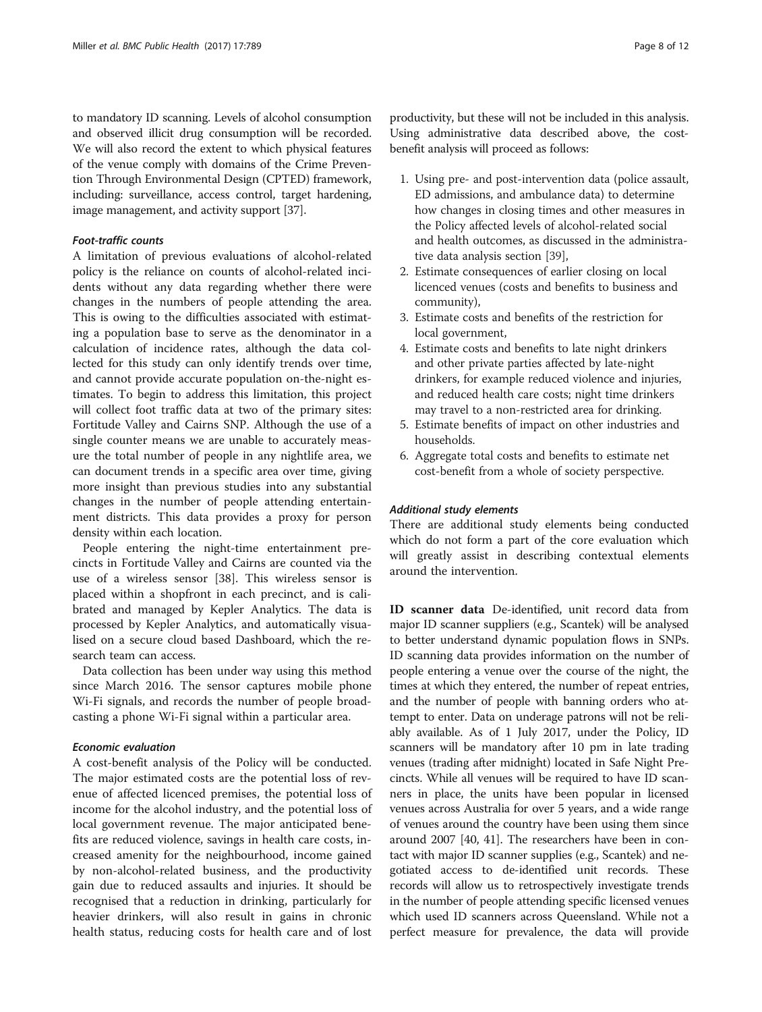to mandatory ID scanning. Levels of alcohol consumption and observed illicit drug consumption will be recorded. We will also record the extent to which physical features of the venue comply with domains of the Crime Prevention Through Environmental Design (CPTED) framework, including: surveillance, access control, target hardening, image management, and activity support [[37](#page-10-0)].

### Foot-traffic counts

A limitation of previous evaluations of alcohol-related policy is the reliance on counts of alcohol-related incidents without any data regarding whether there were changes in the numbers of people attending the area. This is owing to the difficulties associated with estimating a population base to serve as the denominator in a calculation of incidence rates, although the data collected for this study can only identify trends over time, and cannot provide accurate population on-the-night estimates. To begin to address this limitation, this project will collect foot traffic data at two of the primary sites: Fortitude Valley and Cairns SNP. Although the use of a single counter means we are unable to accurately measure the total number of people in any nightlife area, we can document trends in a specific area over time, giving more insight than previous studies into any substantial changes in the number of people attending entertainment districts. This data provides a proxy for person density within each location.

People entering the night-time entertainment precincts in Fortitude Valley and Cairns are counted via the use of a wireless sensor [\[38\]](#page-10-0). This wireless sensor is placed within a shopfront in each precinct, and is calibrated and managed by Kepler Analytics. The data is processed by Kepler Analytics, and automatically visualised on a secure cloud based Dashboard, which the research team can access.

Data collection has been under way using this method since March 2016. The sensor captures mobile phone Wi-Fi signals, and records the number of people broadcasting a phone Wi-Fi signal within a particular area.

#### Economic evaluation

A cost-benefit analysis of the Policy will be conducted. The major estimated costs are the potential loss of revenue of affected licenced premises, the potential loss of income for the alcohol industry, and the potential loss of local government revenue. The major anticipated benefits are reduced violence, savings in health care costs, increased amenity for the neighbourhood, income gained by non-alcohol-related business, and the productivity gain due to reduced assaults and injuries. It should be recognised that a reduction in drinking, particularly for heavier drinkers, will also result in gains in chronic health status, reducing costs for health care and of lost

productivity, but these will not be included in this analysis. Using administrative data described above, the costbenefit analysis will proceed as follows:

- 1. Using pre- and post-intervention data (police assault, ED admissions, and ambulance data) to determine how changes in closing times and other measures in the Policy affected levels of alcohol-related social and health outcomes, as discussed in the administrative data analysis section [\[39](#page-10-0)],
- 2. Estimate consequences of earlier closing on local licenced venues (costs and benefits to business and community),
- 3. Estimate costs and benefits of the restriction for local government,
- 4. Estimate costs and benefits to late night drinkers and other private parties affected by late-night drinkers, for example reduced violence and injuries, and reduced health care costs; night time drinkers may travel to a non-restricted area for drinking.
- 5. Estimate benefits of impact on other industries and households.
- 6. Aggregate total costs and benefits to estimate net cost-benefit from a whole of society perspective.

#### Additional study elements

There are additional study elements being conducted which do not form a part of the core evaluation which will greatly assist in describing contextual elements around the intervention.

ID scanner data De-identified, unit record data from major ID scanner suppliers (e.g., Scantek) will be analysed to better understand dynamic population flows in SNPs. ID scanning data provides information on the number of people entering a venue over the course of the night, the times at which they entered, the number of repeat entries, and the number of people with banning orders who attempt to enter. Data on underage patrons will not be reliably available. As of 1 July 2017, under the Policy, ID scanners will be mandatory after 10 pm in late trading venues (trading after midnight) located in Safe Night Precincts. While all venues will be required to have ID scanners in place, the units have been popular in licensed venues across Australia for over 5 years, and a wide range of venues around the country have been using them since around 2007 [[40, 41\]](#page-10-0). The researchers have been in contact with major ID scanner supplies (e.g., Scantek) and negotiated access to de-identified unit records. These records will allow us to retrospectively investigate trends in the number of people attending specific licensed venues which used ID scanners across Queensland. While not a perfect measure for prevalence, the data will provide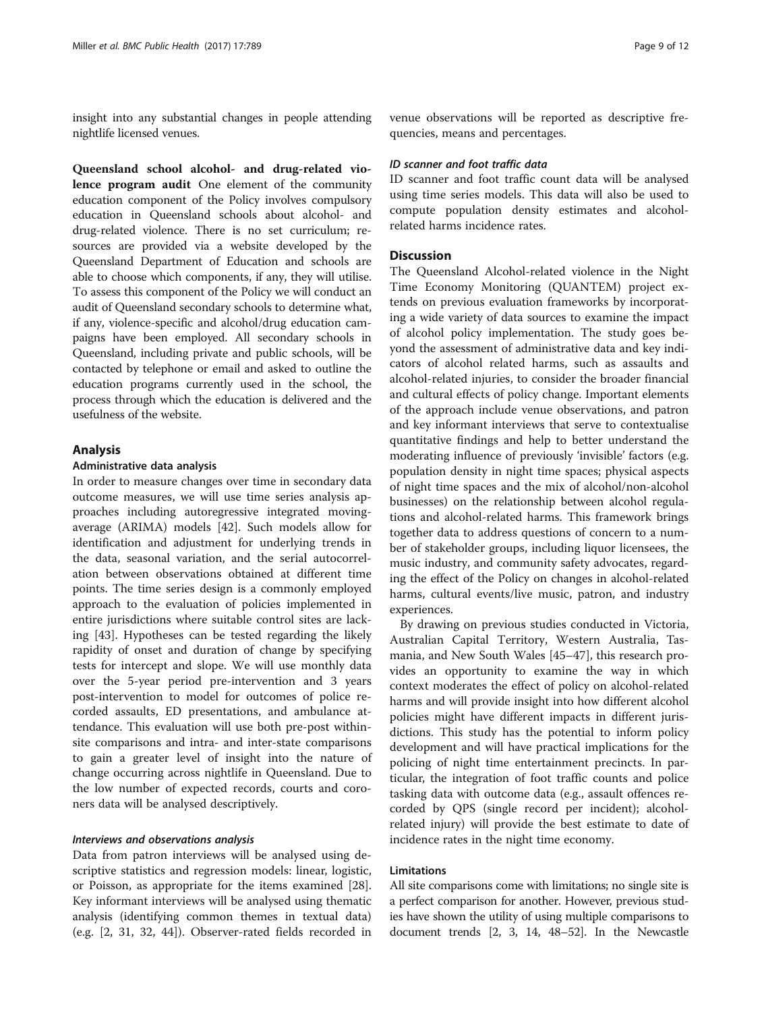insight into any substantial changes in people attending nightlife licensed venues.

Queensland school alcohol- and drug-related violence program audit One element of the community education component of the Policy involves compulsory education in Queensland schools about alcohol- and drug-related violence. There is no set curriculum; resources are provided via a website developed by the Queensland Department of Education and schools are able to choose which components, if any, they will utilise. To assess this component of the Policy we will conduct an audit of Queensland secondary schools to determine what, if any, violence-specific and alcohol/drug education campaigns have been employed. All secondary schools in Queensland, including private and public schools, will be contacted by telephone or email and asked to outline the education programs currently used in the school, the process through which the education is delivered and the usefulness of the website.

## Analysis

## Administrative data analysis

In order to measure changes over time in secondary data outcome measures, we will use time series analysis approaches including autoregressive integrated movingaverage (ARIMA) models [\[42\]](#page-10-0). Such models allow for identification and adjustment for underlying trends in the data, seasonal variation, and the serial autocorrelation between observations obtained at different time points. The time series design is a commonly employed approach to the evaluation of policies implemented in entire jurisdictions where suitable control sites are lacking [[43\]](#page-10-0). Hypotheses can be tested regarding the likely rapidity of onset and duration of change by specifying tests for intercept and slope. We will use monthly data over the 5-year period pre-intervention and 3 years post-intervention to model for outcomes of police recorded assaults, ED presentations, and ambulance attendance. This evaluation will use both pre-post withinsite comparisons and intra- and inter-state comparisons to gain a greater level of insight into the nature of change occurring across nightlife in Queensland. Due to the low number of expected records, courts and coroners data will be analysed descriptively.

#### Interviews and observations analysis

Data from patron interviews will be analysed using descriptive statistics and regression models: linear, logistic, or Poisson, as appropriate for the items examined [\[28](#page-10-0)]. Key informant interviews will be analysed using thematic analysis (identifying common themes in textual data) (e.g. [\[2](#page-10-0), [31, 32](#page-10-0), [44\]](#page-11-0)). Observer-rated fields recorded in

venue observations will be reported as descriptive frequencies, means and percentages.

#### ID scanner and foot traffic data

ID scanner and foot traffic count data will be analysed using time series models. This data will also be used to compute population density estimates and alcoholrelated harms incidence rates.

## **Discussion**

The Queensland Alcohol-related violence in the Night Time Economy Monitoring (QUANTEM) project extends on previous evaluation frameworks by incorporating a wide variety of data sources to examine the impact of alcohol policy implementation. The study goes beyond the assessment of administrative data and key indicators of alcohol related harms, such as assaults and alcohol-related injuries, to consider the broader financial and cultural effects of policy change. Important elements of the approach include venue observations, and patron and key informant interviews that serve to contextualise quantitative findings and help to better understand the moderating influence of previously 'invisible' factors (e.g. population density in night time spaces; physical aspects of night time spaces and the mix of alcohol/non-alcohol businesses) on the relationship between alcohol regulations and alcohol-related harms. This framework brings together data to address questions of concern to a number of stakeholder groups, including liquor licensees, the music industry, and community safety advocates, regarding the effect of the Policy on changes in alcohol-related harms, cultural events/live music, patron, and industry experiences.

By drawing on previous studies conducted in Victoria, Australian Capital Territory, Western Australia, Tasmania, and New South Wales [[45](#page-11-0)–[47](#page-11-0)], this research provides an opportunity to examine the way in which context moderates the effect of policy on alcohol-related harms and will provide insight into how different alcohol policies might have different impacts in different jurisdictions. This study has the potential to inform policy development and will have practical implications for the policing of night time entertainment precincts. In particular, the integration of foot traffic counts and police tasking data with outcome data (e.g., assault offences recorded by QPS (single record per incident); alcoholrelated injury) will provide the best estimate to date of incidence rates in the night time economy.

## Limitations

All site comparisons come with limitations; no single site is a perfect comparison for another. However, previous studies have shown the utility of using multiple comparisons to document trends [\[2, 3, 14,](#page-10-0) [48](#page-11-0)–[52\]](#page-11-0). In the Newcastle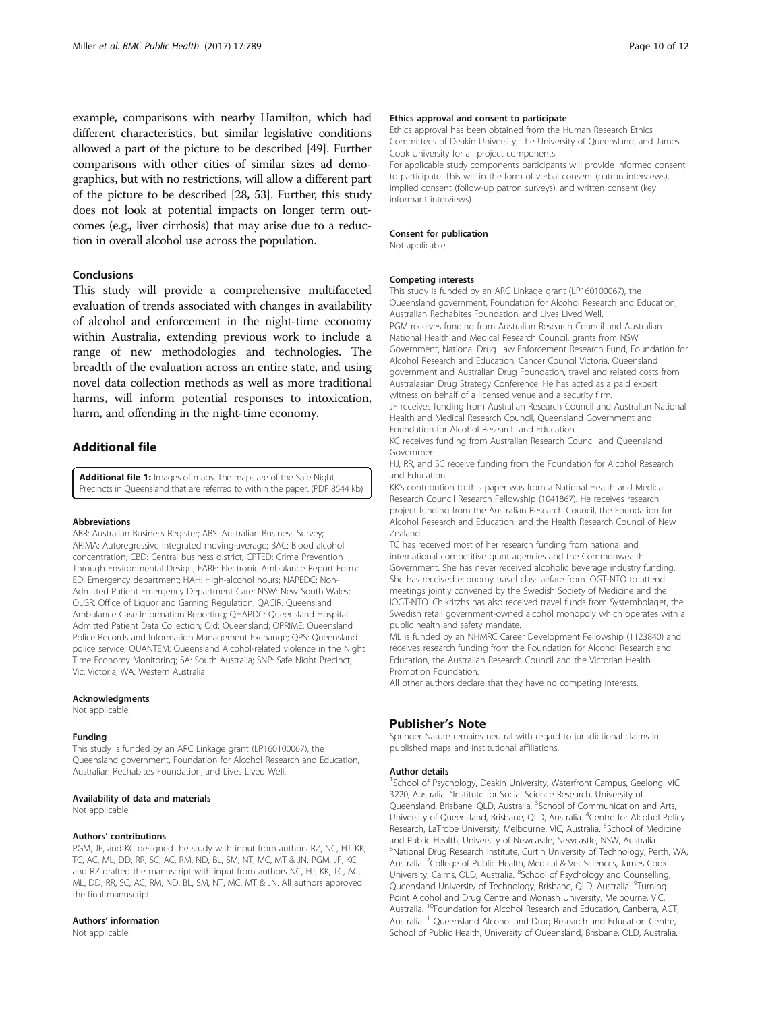<span id="page-9-0"></span>example, comparisons with nearby Hamilton, which had different characteristics, but similar legislative conditions allowed a part of the picture to be described [[49](#page-11-0)]. Further comparisons with other cities of similar sizes ad demographics, but with no restrictions, will allow a different part of the picture to be described [[28](#page-10-0), [53](#page-11-0)]. Further, this study does not look at potential impacts on longer term outcomes (e.g., liver cirrhosis) that may arise due to a reduction in overall alcohol use across the population.

#### Conclusions

This study will provide a comprehensive multifaceted evaluation of trends associated with changes in availability of alcohol and enforcement in the night-time economy within Australia, extending previous work to include a range of new methodologies and technologies. The breadth of the evaluation across an entire state, and using novel data collection methods as well as more traditional harms, will inform potential responses to intoxication, harm, and offending in the night-time economy.

## Additional file

[Additional file 1:](dx.doi.org/10.1186/s12889-017-4811-9) Images of maps. The maps are of the Safe Night Precincts in Queensland that are referred to within the paper. (PDF 8544 kb)

#### Abbreviations

ABR: Australian Business Register; ABS: Australian Business Survey; ARIMA: Autoregressive integrated moving-average; BAC: Blood alcohol concentration; CBD: Central business district; CPTED: Crime Prevention Through Environmental Design; EARF: Electronic Ambulance Report Form; ED: Emergency department; HAH: High-alcohol hours; NAPEDC: Non-Admitted Patient Emergency Department Care; NSW: New South Wales; OLGR: Office of Liquor and Gaming Regulation; QACIR: Queensland Ambulance Case Information Reporting; QHAPDC: Queensland Hospital Admitted Patient Data Collection; Qld: Queensland; QPRIME: Queensland Police Records and Information Management Exchange; QPS: Queensland police service; QUANTEM: Queensland Alcohol-related violence in the Night Time Economy Monitoring; SA: South Australia; SNP: Safe Night Precinct; Vic: Victoria; WA: Western Australia

#### Acknowledgments

Not applicable.

#### Funding

This study is funded by an ARC Linkage grant (LP160100067), the Queensland government, Foundation for Alcohol Research and Education, Australian Rechabites Foundation, and Lives Lived Well.

#### Availability of data and materials

Not applicable.

## Authors' contributions

PGM, JF, and KC designed the study with input from authors RZ, NC, HJ, KK, TC, AC, ML, DD, RR, SC, AC, RM, ND, BL, SM, NT, MC, MT & JN. PGM, JF, KC, and RZ drafted the manuscript with input from authors NC, HJ, KK, TC, AC, ML, DD, RR, SC, AC, RM, ND, BL, SM, NT, MC, MT & JN. All authors approved the final manuscript.

#### Authors' information

Not applicable.

#### Ethics approval and consent to participate

Ethics approval has been obtained from the Human Research Ethics Committees of Deakin University, The University of Queensland, and James Cook University for all project components.

For applicable study components participants will provide informed consent to participate. This will in the form of verbal consent (patron interviews), implied consent (follow-up patron surveys), and written consent (key informant interviews).

#### Consent for publication

Not applicable.

#### Competing interests

This study is funded by an ARC Linkage grant (LP160100067), the Queensland government, Foundation for Alcohol Research and Education, Australian Rechabites Foundation, and Lives Lived Well. PGM receives funding from Australian Research Council and Australian National Health and Medical Research Council, grants from NSW Government, National Drug Law Enforcement Research Fund, Foundation for Alcohol Research and Education, Cancer Council Victoria, Queensland government and Australian Drug Foundation, travel and related costs from Australasian Drug Strategy Conference. He has acted as a paid expert witness on behalf of a licensed venue and a security firm. JF receives funding from Australian Research Council and Australian National

Health and Medical Research Council, Queensland Government and Foundation for Alcohol Research and Education.

KC receives funding from Australian Research Council and Queensland Government.

HJ, RR, and SC receive funding from the Foundation for Alcohol Research and Education.

KK's contribution to this paper was from a National Health and Medical Research Council Research Fellowship (1041867). He receives research project funding from the Australian Research Council, the Foundation for Alcohol Research and Education, and the Health Research Council of New Zealand.

TC has received most of her research funding from national and international competitive grant agencies and the Commonwealth Government. She has never received alcoholic beverage industry funding. She has received economy travel class airfare from IOGT-NTO to attend meetings jointly convened by the Swedish Society of Medicine and the IOGT-NTO. Chikritzhs has also received travel funds from Systembolaget, the Swedish retail government-owned alcohol monopoly which operates with a public health and safety mandate.

ML is funded by an NHMRC Career Development Fellowship (1123840) and receives research funding from the Foundation for Alcohol Research and Education, the Australian Research Council and the Victorian Health Promotion Foundation.

All other authors declare that they have no competing interests.

#### Publisher's Note

Springer Nature remains neutral with regard to jurisdictional claims in published maps and institutional affiliations.

#### Author details

<sup>1</sup>School of Psychology, Deakin University, Waterfront Campus, Geelong, VIC 3220, Australia. <sup>2</sup>Institute for Social Science Research, University of Queensland, Brisbane, QLD, Australia. <sup>3</sup>School of Communication and Arts University of Queensland, Brisbane, QLD, Australia. <sup>4</sup>Centre for Alcohol Policy Research, LaTrobe University, Melbourne, VIC, Australia. <sup>5</sup>School of Medicine and Public Health, University of Newcastle, Newcastle, NSW, Australia. <sup>6</sup>National Drug Research Institute, Curtin University of Technology, Perth, WA, Australia. <sup>7</sup>College of Public Health, Medical & Vet Sciences, James Cook University, Cairns, QLD, Australia. <sup>8</sup>School of Psychology and Counselling Queensland University of Technology, Brisbane, QLD, Australia. <sup>9</sup>Turning Point Alcohol and Drug Centre and Monash University, Melbourne, VIC, Australia. <sup>10</sup>Foundation for Alcohol Research and Education, Canberra, ACT, Australia. <sup>11</sup>Queensland Alcohol and Drug Research and Education Centre, School of Public Health, University of Queensland, Brisbane, QLD, Australia.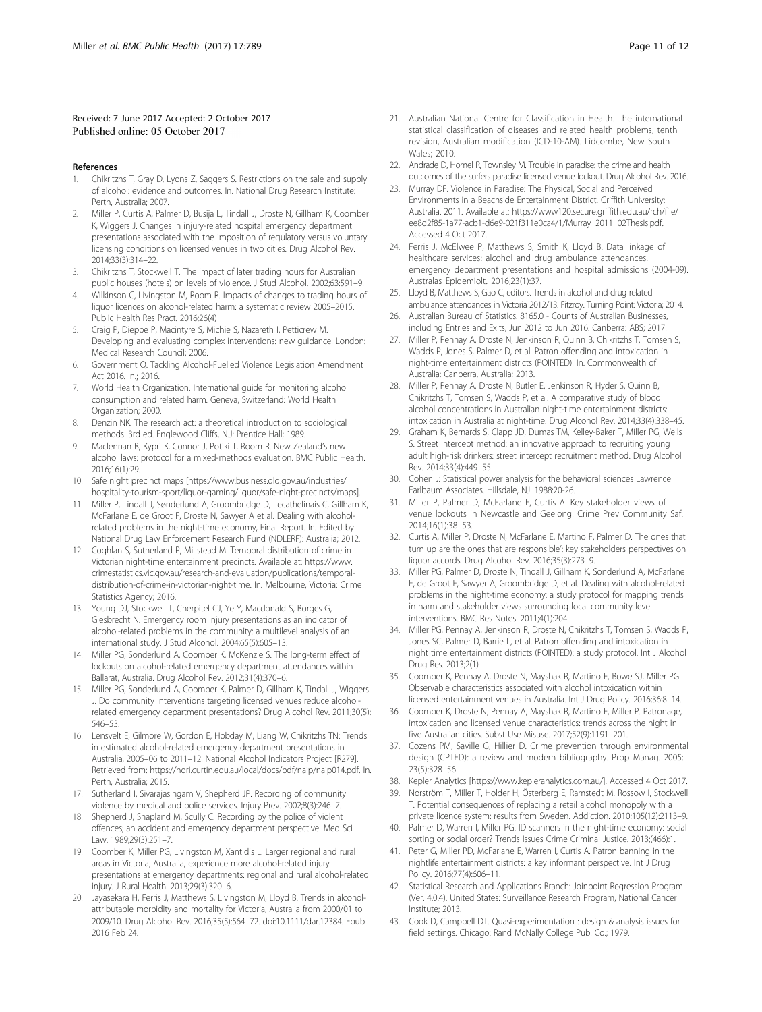#### <span id="page-10-0"></span>Received: 7 June 2017 Accepted: 2 October 2017 Published online: 05 October 2017

#### References

- 1. Chikritzhs T, Gray D, Lyons Z, Saggers S. Restrictions on the sale and supply of alcohol: evidence and outcomes. In. National Drug Research Institute: Perth, Australia; 2007.
- 2. Miller P, Curtis A, Palmer D, Busija L, Tindall J, Droste N, Gillham K, Coomber K, Wiggers J. Changes in injury-related hospital emergency department presentations associated with the imposition of regulatory versus voluntary licensing conditions on licensed venues in two cities. Drug Alcohol Rev. 2014;33(3):314–22.
- 3. Chikritzhs T, Stockwell T. The impact of later trading hours for Australian public houses (hotels) on levels of violence. J Stud Alcohol. 2002;63:591–9.
- 4. Wilkinson C, Livingston M, Room R. Impacts of changes to trading hours of liquor licences on alcohol-related harm: a systematic review 2005–2015. Public Health Res Pract. 2016;26(4)
- 5. Craig P, Dieppe P, Macintyre S, Michie S, Nazareth I, Petticrew M. Developing and evaluating complex interventions: new guidance. London: Medical Research Council; 2006.
- 6. Government Q. Tackling Alcohol-Fuelled Violence Legislation Amendment Act 2016. In.; 2016.
- 7. World Health Organization. International guide for monitoring alcohol consumption and related harm. Geneva, Switzerland: World Health Organization; 2000.
- 8. Denzin NK. The research act: a theoretical introduction to sociological methods. 3rd ed. Englewood Cliffs, N.J: Prentice Hall; 1989.
- 9. Maclennan B, Kypri K, Connor J, Potiki T, Room R. New Zealand's new alcohol laws: protocol for a mixed-methods evaluation. BMC Public Health. 2016;16(1):29.
- 10. Safe night precinct maps [\[https://www.business.qld.gov.au/industries/](https://www.business.qld.gov.au/industries/hospitality-tourism-sport/liquor-gaming/liquor/safe-night-precincts/maps) [hospitality-tourism-sport/liquor-gaming/liquor/safe-night-precincts/maps\]](https://www.business.qld.gov.au/industries/hospitality-tourism-sport/liquor-gaming/liquor/safe-night-precincts/maps).
- 11. Miller P, Tindall J, Sønderlund A, Groombridge D, Lecathelinais C, Gillham K, McFarlane E, de Groot F, Droste N, Sawyer A et al. Dealing with alcoholrelated problems in the night-time economy, Final Report. In. Edited by National Drug Law Enforcement Research Fund (NDLERF): Australia; 2012.
- 12. Coghlan S, Sutherland P, Millstead M. Temporal distribution of crime in Victorian night-time entertainment precincts. Available at: [https://www.](https://www.crimestatistics.vic.gov.au/research-and-evaluation/publications/temporal-distribution-of-crime-in-victorian-night-time) [crimestatistics.vic.gov.au/research-and-evaluation/publications/temporal](https://www.crimestatistics.vic.gov.au/research-and-evaluation/publications/temporal-distribution-of-crime-in-victorian-night-time)[distribution-of-crime-in-victorian-night-time.](https://www.crimestatistics.vic.gov.au/research-and-evaluation/publications/temporal-distribution-of-crime-in-victorian-night-time) In. Melbourne, Victoria: Crime Statistics Agency; 2016.
- 13. Young DJ, Stockwell T, Cherpitel CJ, Ye Y, Macdonald S, Borges G, Giesbrecht N. Emergency room injury presentations as an indicator of alcohol-related problems in the community: a multilevel analysis of an international study. J Stud Alcohol. 2004;65(5):605–13.
- 14. Miller PG, Sonderlund A, Coomber K, McKenzie S. The long-term effect of lockouts on alcohol-related emergency department attendances within Ballarat, Australia. Drug Alcohol Rev. 2012;31(4):370–6.
- 15. Miller PG, Sonderlund A, Coomber K, Palmer D, Gillham K, Tindall J, Wiggers J. Do community interventions targeting licensed venues reduce alcoholrelated emergency department presentations? Drug Alcohol Rev. 2011;30(5): 546–53.
- 16. Lensvelt E, Gilmore W, Gordon E, Hobday M, Liang W, Chikritzhs TN: Trends in estimated alcohol-related emergency department presentations in Australia, 2005–06 to 2011–12. National Alcohol Indicators Project [R279]. Retrieved from: [https://ndri.curtin.edu.au/local/docs/pdf/naip/naip014.pdf.](https://ndri.curtin.edu.au/local/docs/pdf/naip/naip014.pdf) In. Perth, Australia; 2015.
- 17. Sutherland I, Sivarajasingam V, Shepherd JP. Recording of community violence by medical and police services. Injury Prev. 2002;8(3):246–7.
- 18. Shepherd J, Shapland M, Scully C. Recording by the police of violent offences; an accident and emergency department perspective. Med Sci Law. 1989;29(3):251–7.
- 19. Coomber K, Miller PG, Livingston M, Xantidis L. Larger regional and rural areas in Victoria, Australia, experience more alcohol-related injury presentations at emergency departments: regional and rural alcohol-related injury. J Rural Health. 2013;29(3):320–6.
- 20. Jayasekara H, Ferris J, Matthews S, Livingston M, Lloyd B. Trends in alcoholattributable morbidity and mortality for Victoria, Australia from 2000/01 to 2009/10. Drug Alcohol Rev. 2016;35(5):564–72. doi:[10.1111/dar.12384](http://dx.doi.org/10.1111/dar.12384). Epub 2016 Feb 24.
- 21. Australian National Centre for Classification in Health. The international statistical classification of diseases and related health problems, tenth revision, Australian modification (ICD-10-AM). Lidcombe, New South Wales; 2010.
- 22. Andrade D, Homel R, Townsley M. Trouble in paradise: the crime and health outcomes of the surfers paradise licensed venue lockout. Drug Alcohol Rev. 2016.
- 23. Murray DF. Violence in Paradise: The Physical, Social and Perceived Environments in a Beachside Entertainment District. Griffith University: Australia. 2011. Available at: [https://www120.secure.griffith.edu.au/rch/file/](https://www120.secure.griffith.edu.au/rch/file/ee8d2f85-1a77-acb1-d6e9-021f311e0ca4/1/Murray_2011_02Thesis.pdf) [ee8d2f85-1a77-acb1-d6e9-021f311e0ca4/1/Murray\\_2011\\_02Thesis.pdf.](https://www120.secure.griffith.edu.au/rch/file/ee8d2f85-1a77-acb1-d6e9-021f311e0ca4/1/Murray_2011_02Thesis.pdf) Accessed 4 Oct 2017.
- 24. Ferris J, McElwee P, Matthews S, Smith K, Lloyd B. Data linkage of healthcare services: alcohol and drug ambulance attendances, emergency department presentations and hospital admissions (2004-09). Australas Epidemiolt. 2016;23(1):37.
- 25. Lloyd B, Matthews S, Gao C, editors. Trends in alcohol and drug related ambulance attendances in Victoria 2012/13. Fitzroy. Turning Point: Victoria; 2014.
- 26. Australian Bureau of Statistics. 8165.0 Counts of Australian Businesses, including Entries and Exits, Jun 2012 to Jun 2016. Canberra: ABS; 2017.
- 27. Miller P, Pennay A, Droste N, Jenkinson R, Quinn B, Chikritzhs T, Tomsen S, Wadds P, Jones S, Palmer D, et al. Patron offending and intoxication in night-time entertainment districts (POINTED). In. Commonwealth of Australia: Canberra, Australia; 2013.
- 28. Miller P, Pennay A, Droste N, Butler E, Jenkinson R, Hyder S, Quinn B, Chikritzhs T, Tomsen S, Wadds P, et al. A comparative study of blood alcohol concentrations in Australian night-time entertainment districts: intoxication in Australia at night-time. Drug Alcohol Rev. 2014;33(4):338–45.
- 29. Graham K, Bernards S, Clapp JD, Dumas TM, Kelley-Baker T, Miller PG, Wells S. Street intercept method: an innovative approach to recruiting young adult high-risk drinkers: street intercept recruitment method. Drug Alcohol Rev. 2014;33(4):449–55.
- 30. Cohen J: Statistical power analysis for the behavioral sciences Lawrence Earlbaum Associates. Hillsdale, NJ. 1988:20-26.
- 31. Miller P, Palmer D, McFarlane E, Curtis A. Key stakeholder views of venue lockouts in Newcastle and Geelong. Crime Prev Community Saf. 2014;16(1):38–53.
- 32. Curtis A, Miller P, Droste N, McFarlane E, Martino F, Palmer D. The ones that turn up are the ones that are responsible': key stakeholders perspectives on liquor accords. Drug Alcohol Rev. 2016;35(3):273–9.
- 33. Miller PG, Palmer D, Droste N, Tindall J, Gillham K, Sonderlund A, McFarlane E, de Groot F, Sawyer A, Groombridge D, et al. Dealing with alcohol-related problems in the night-time economy: a study protocol for mapping trends in harm and stakeholder views surrounding local community level interventions. BMC Res Notes. 2011;4(1):204.
- 34. Miller PG, Pennay A, Jenkinson R, Droste N, Chikritzhs T, Tomsen S, Wadds P, Jones SC, Palmer D, Barrie L, et al. Patron offending and intoxication in night time entertainment districts (POINTED): a study protocol. Int J Alcohol Drug Res. 2013;2(1)
- 35. Coomber K, Pennay A, Droste N, Mayshak R, Martino F, Bowe SJ, Miller PG. Observable characteristics associated with alcohol intoxication within licensed entertainment venues in Australia. Int J Drug Policy. 2016;36:8–14.
- 36. Coomber K, Droste N, Pennay A, Mayshak R, Martino F, Miller P. Patronage, intoxication and licensed venue characteristics: trends across the night in five Australian cities. Subst Use Misuse. 2017;52(9):1191–201.
- 37. Cozens PM, Saville G, Hillier D. Crime prevention through environmental design (CPTED): a review and modern bibliography. Prop Manag. 2005; 23(5):328–56.
- 38. Kepler Analytics [<https://www.kepleranalytics.com.au>/]. Accessed 4 Oct 2017.
- 39. Norström T, Miller T, Holder H, Österberg E, Ramstedt M, Rossow I, Stockwell T. Potential consequences of replacing a retail alcohol monopoly with a private licence system: results from Sweden. Addiction. 2010;105(12):2113–9.
- 40. Palmer D, Warren I, Miller PG. ID scanners in the night-time economy: social sorting or social order? Trends Issues Crime Criminal Justice. 2013;(466):1.
- 41. Peter G, Miller PD, McFarlane E, Warren I, Curtis A. Patron banning in the nightlife entertainment districts: a key informant perspective. Int J Drug Policy. 2016;77(4):606–11.
- 42. Statistical Research and Applications Branch: Joinpoint Regression Program (Ver. 4.0.4). United States: Surveillance Research Program, National Cancer Institute; 2013.
- 43. Cook D, Campbell DT. Quasi-experimentation : design & analysis issues for field settings. Chicago: Rand McNally College Pub. Co.; 1979.